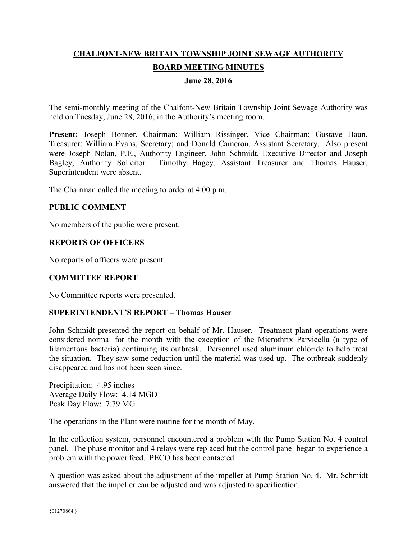# **CHALFONT-NEW BRITAIN TOWNSHIP JOINT SEWAGE AUTHORITY BOARD MEETING MINUTES**

#### **June 28, 2016**

The semi-monthly meeting of the Chalfont-New Britain Township Joint Sewage Authority was held on Tuesday, June 28, 2016, in the Authority's meeting room.

**Present:** Joseph Bonner, Chairman; William Rissinger, Vice Chairman; Gustave Haun, Treasurer; William Evans, Secretary; and Donald Cameron, Assistant Secretary. Also present were Joseph Nolan, P.E., Authority Engineer, John Schmidt, Executive Director and Joseph Bagley, Authority Solicitor. Timothy Hagey, Assistant Treasurer and Thomas Hauser, Superintendent were absent.

The Chairman called the meeting to order at 4:00 p.m.

#### **PUBLIC COMMENT**

No members of the public were present.

#### **REPORTS OF OFFICERS**

No reports of officers were present.

# **COMMITTEE REPORT**

No Committee reports were presented.

#### **SUPERINTENDENT'S REPORT – Thomas Hauser**

John Schmidt presented the report on behalf of Mr. Hauser. Treatment plant operations were considered normal for the month with the exception of the Microthrix Parvicella (a type of filamentous bacteria) continuing its outbreak. Personnel used aluminum chloride to help treat the situation. They saw some reduction until the material was used up. The outbreak suddenly disappeared and has not been seen since.

Precipitation: 4.95 inches Average Daily Flow: 4.14 MGD Peak Day Flow: 7.79 MG

The operations in the Plant were routine for the month of May.

In the collection system, personnel encountered a problem with the Pump Station No. 4 control panel. The phase monitor and 4 relays were replaced but the control panel began to experience a problem with the power feed. PECO has been contacted.

A question was asked about the adjustment of the impeller at Pump Station No. 4. Mr. Schmidt answered that the impeller can be adjusted and was adjusted to specification.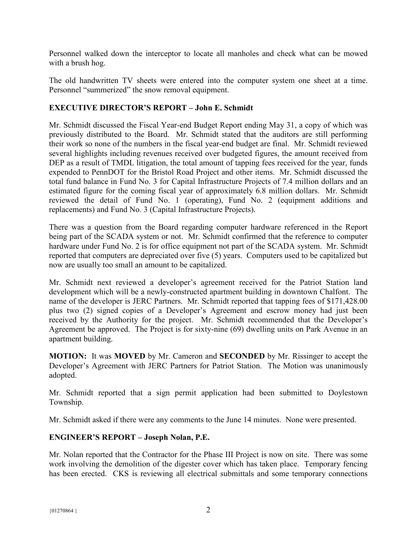Personnel walked down the interceptor to locate all manholes and check what can be mowed with a brush hog.

The old handwritten TV sheets were entered into the computer system one sheet at a time. Personnel "summerized" the snow removal equipment.

# **EXECUTIVE DIRECTOR'S REPORT – John E. Schmidt**

Mr. Schmidt discussed the Fiscal Year-end Budget Report ending May 31, a copy of which was previously distributed to the Board. Mr. Schmidt stated that the auditors are still performing their work so none of the numbers in the fiscal year-end budget are final. Mr. Schmidt reviewed several highlights including revenues received over budgeted figures, the amount received from DEP as a result of TMDL litigation, the total amount of tapping fees received for the year, funds expended to PennDOT for the Bristol Road Project and other items. Mr. Schmidt discussed the total fund balance in Fund No. 3 for Capital Infrastructure Projects of 7.4 million dollars and an estimated figure for the coming fiscal year of approximately 6.8 million dollars. Mr. Schmidt reviewed the detail of Fund No. 1 (operating), Fund No. 2 (equipment additions and replacements) and Fund No. 3 (Capital Infrastructure Projects).

There was a question from the Board regarding computer hardware referenced in the Report being part of the SCADA system or not. Mr. Schmidt confirmed that the reference to computer hardware under Fund No. 2 is for office equipment not part of the SCADA system. Mr. Schmidt reported that computers are depreciated over five (5) years. Computers used to be capitalized but now are usually too small an amount to be capitalized.

Mr. Schmidt next reviewed a developer's agreement received for the Patriot Station land development which will be a newly-constructed apartment building in downtown Chalfont. The name of the developer is JERC Partners. Mr. Schmidt reported that tapping fees of \$171,428.00 plus two (2) signed copies of a Developer's Agreement and escrow money had just been received by the Authority for the project. Mr. Schmidt recommended that the Developer's Agreement be approved. The Project is for sixty-nine (69) dwelling units on Park Avenue in an apartment building.

**MOTION:** It was **MOVED** by Mr. Cameron and **SECONDED** by Mr. Rissinger to accept the Developer's Agreement with JERC Partners for Patriot Station. The Motion was unanimously adopted.

Mr. Schmidt reported that a sign permit application had been submitted to Doylestown Township.

Mr. Schmidt asked if there were any comments to the June 14 minutes. None were presented.

# **ENGINEER'S REPORT – Joseph Nolan, P.E.**

Mr. Nolan reported that the Contractor for the Phase III Project is now on site. There was some work involving the demolition of the digester cover which has taken place. Temporary fencing has been erected. CKS is reviewing all electrical submittals and some temporary connections